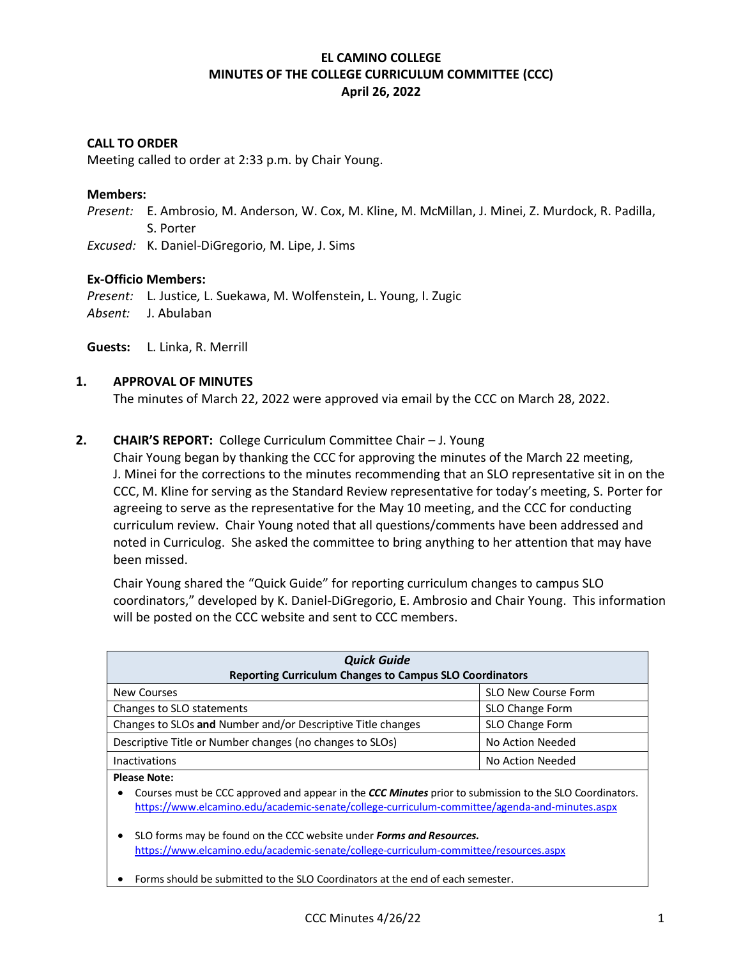# **EL CAMINO COLLEGE MINUTES OF THE COLLEGE CURRICULUM COMMITTEE (CCC) April 26, 2022**

### **CALL TO ORDER**

Meeting called to order at 2:33 p.m. by Chair Young.

#### **Members:**

*Present:* E. Ambrosio, M. Anderson, W. Cox, M. Kline, M. McMillan, J. Minei, Z. Murdock, R. Padilla, S. Porter

*Excused:* K. Daniel-DiGregorio, M. Lipe, J. Sims

#### **Ex-Officio Members:**

*Present:* L. Justice*,* L. Suekawa, M. Wolfenstein, L. Young, I. Zugic *Absent:* J. Abulaban

**Guests:** L. Linka, R. Merrill

#### **1. APPROVAL OF MINUTES**

The minutes of March 22, 2022 were approved via email by the CCC on March 28, 2022.

### **2. CHAIR'S REPORT:** College Curriculum Committee Chair – J. Young

Chair Young began by thanking the CCC for approving the minutes of the March 22 meeting, J. Minei for the corrections to the minutes recommending that an SLO representative sit in on the CCC, M. Kline for serving as the Standard Review representative for today's meeting, S. Porter for agreeing to serve as the representative for the May 10 meeting, and the CCC for conducting curriculum review. Chair Young noted that all questions/comments have been addressed and noted in Curriculog. She asked the committee to bring anything to her attention that may have been missed.

Chair Young shared the "Quick Guide" for reporting curriculum changes to campus SLO coordinators," developed by K. Daniel-DiGregorio, E. Ambrosio and Chair Young. This information will be posted on the CCC website and sent to CCC members.

| <b>Quick Guide</b><br><b>Reporting Curriculum Changes to Campus SLO Coordinators</b>                                                                                                                                            |                            |  |  |  |  |
|---------------------------------------------------------------------------------------------------------------------------------------------------------------------------------------------------------------------------------|----------------------------|--|--|--|--|
| New Courses                                                                                                                                                                                                                     | <b>SLO New Course Form</b> |  |  |  |  |
| Changes to SLO statements                                                                                                                                                                                                       | SLO Change Form            |  |  |  |  |
| Changes to SLOs and Number and/or Descriptive Title changes                                                                                                                                                                     | SLO Change Form            |  |  |  |  |
| Descriptive Title or Number changes (no changes to SLOs)                                                                                                                                                                        | No Action Needed           |  |  |  |  |
| <b>Inactivations</b>                                                                                                                                                                                                            | No Action Needed           |  |  |  |  |
| <b>Please Note:</b><br>Courses must be CCC approved and appear in the CCC Minutes prior to submission to the SLO Coordinators.<br>https://www.elcamino.edu/academic-senate/college-curriculum-committee/agenda-and-minutes.aspx |                            |  |  |  |  |
| SLO forms may be found on the CCC website under <b>Forms and Resources.</b>                                                                                                                                                     |                            |  |  |  |  |

<https://www.elcamino.edu/academic-senate/college-curriculum-committee/resources.aspx>

• Forms should be submitted to the SLO Coordinators at the end of each semester.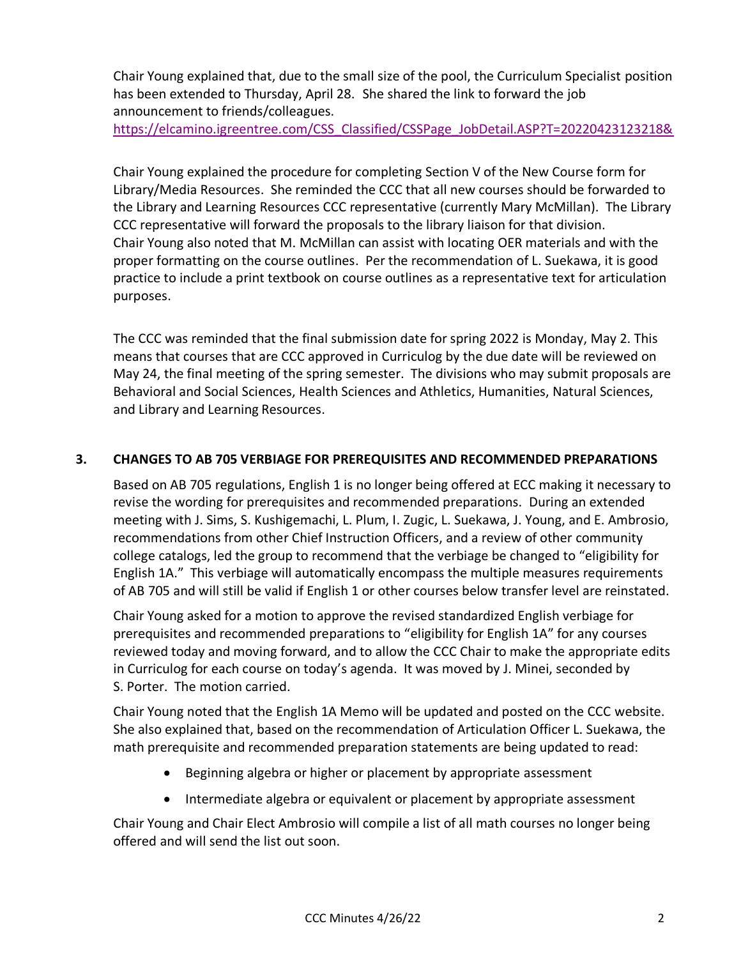Chair Young explained that, due to the small size of the pool, the Curriculum Specialist position has been extended to Thursday, April 28. She shared the link to forward the job announcement to friends/colleagues.

[https://elcamino.igreentree.com/CSS\\_Classified/CSSPage\\_JobDetail.ASP?T=20220423123218&](https://elcamino.igreentree.com/CSS_Classified/CSSPage_JobDetail.ASP?T=20220423123218&)

Chair Young explained the procedure for completing Section V of the New Course form for Library/Media Resources. She reminded the CCC that all new courses should be forwarded to the Library and Learning Resources CCC representative (currently Mary McMillan). The Library CCC representative will forward the proposals to the library liaison for that division. Chair Young also noted that M. McMillan can assist with locating OER materials and with the proper formatting on the course outlines. Per the recommendation of L. Suekawa, it is good practice to include a print textbook on course outlines as a representative text for articulation purposes.

The CCC was reminded that the final submission date for spring 2022 is Monday, May 2. This means that courses that are CCC approved in Curriculog by the due date will be reviewed on May 24, the final meeting of the spring semester. The divisions who may submit proposals are Behavioral and Social Sciences, Health Sciences and Athletics, Humanities, Natural Sciences, and Library and Learning Resources.

# **3. CHANGES TO AB 705 VERBIAGE FOR PREREQUISITES AND RECOMMENDED PREPARATIONS**

Based on AB 705 regulations, English 1 is no longer being offered at ECC making it necessary to revise the wording for prerequisites and recommended preparations. During an extended meeting with J. Sims, S. Kushigemachi, L. Plum, I. Zugic, L. Suekawa, J. Young, and E. Ambrosio, recommendations from other Chief Instruction Officers, and a review of other community college catalogs, led the group to recommend that the verbiage be changed to "eligibility for English 1A." This verbiage will automatically encompass the multiple measures requirements of AB 705 and will still be valid if English 1 or other courses below transfer level are reinstated.

Chair Young asked for a motion to approve the revised standardized English verbiage for prerequisites and recommended preparations to "eligibility for English 1A" for any courses reviewed today and moving forward, and to allow the CCC Chair to make the appropriate edits in Curriculog for each course on today's agenda. It was moved by J. Minei, seconded by S. Porter. The motion carried.

Chair Young noted that the English 1A Memo will be updated and posted on the CCC website. She also explained that, based on the recommendation of Articulation Officer L. Suekawa, the math prerequisite and recommended preparation statements are being updated to read:

- Beginning algebra or higher or placement by appropriate assessment
- Intermediate algebra or equivalent or placement by appropriate assessment

Chair Young and Chair Elect Ambrosio will compile a list of all math courses no longer being offered and will send the list out soon.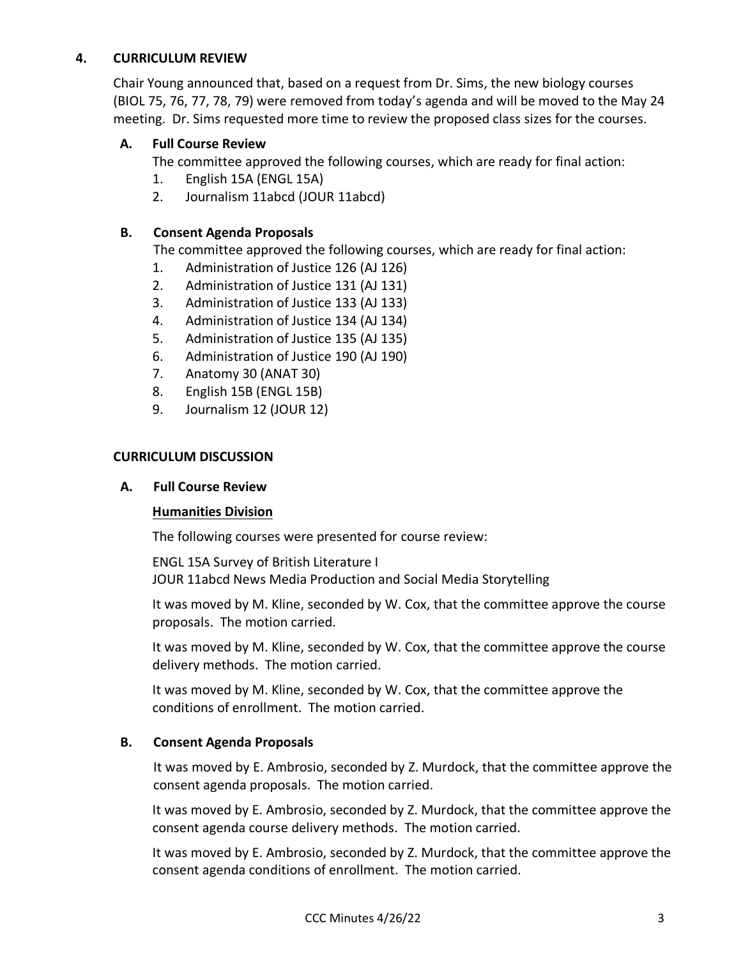# **4. CURRICULUM REVIEW**

Chair Young announced that, based on a request from Dr. Sims, the new biology courses (BIOL 75, 76, 77, 78, 79) were removed from today's agenda and will be moved to the May 24 meeting. Dr. Sims requested more time to review the proposed class sizes for the courses.

# **A. Full Course Review**

The committee approved the following courses, which are ready for final action:

- 1. English 15A (ENGL 15A)
- 2. Journalism 11abcd (JOUR 11abcd)

# **B. Consent Agenda Proposals**

The committee approved the following courses, which are ready for final action:

- 1. Administration of Justice 126 (AJ 126)
- 2. Administration of Justice 131 (AJ 131)
- 3. Administration of Justice 133 (AJ 133)
- 4. Administration of Justice 134 (AJ 134)
- 5. Administration of Justice 135 (AJ 135)
- 6. Administration of Justice 190 (AJ 190)
- 7. Anatomy 30 (ANAT 30)
- 8. English 15B (ENGL 15B)
- 9. Journalism 12 (JOUR 12)

# **CURRICULUM DISCUSSION**

# **A. Full Course Review**

# **Humanities Division**

The following courses were presented for course review:

ENGL 15A Survey of British Literature I JOUR 11abcd News Media Production and Social Media Storytelling

It was moved by M. Kline, seconded by W. Cox, that the committee approve the course proposals. The motion carried.

It was moved by M. Kline, seconded by W. Cox, that the committee approve the course delivery methods. The motion carried.

It was moved by M. Kline, seconded by W. Cox, that the committee approve the conditions of enrollment. The motion carried.

# **B. Consent Agenda Proposals**

It was moved by E. Ambrosio, seconded by Z. Murdock, that the committee approve the consent agenda proposals. The motion carried.

It was moved by E. Ambrosio, seconded by Z. Murdock, that the committee approve the consent agenda course delivery methods. The motion carried.

It was moved by E. Ambrosio, seconded by Z. Murdock, that the committee approve the consent agenda conditions of enrollment. The motion carried.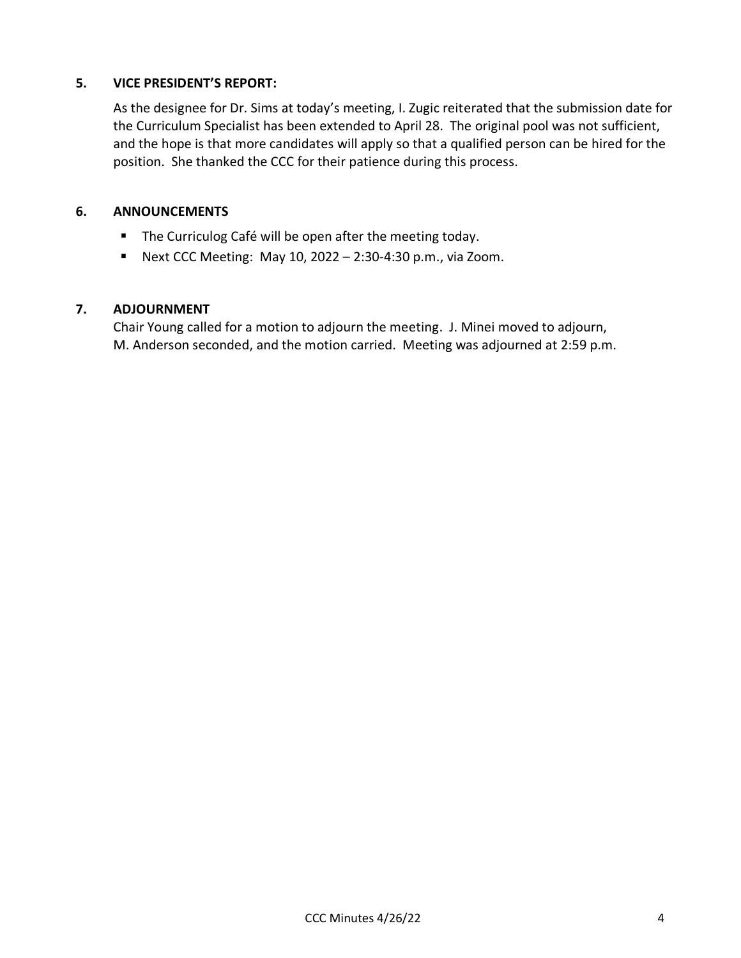# **5. VICE PRESIDENT'S REPORT:**

As the designee for Dr. Sims at today's meeting, I. Zugic reiterated that the submission date for the Curriculum Specialist has been extended to April 28. The original pool was not sufficient, and the hope is that more candidates will apply so that a qualified person can be hired for the position. She thanked the CCC for their patience during this process.

# **6. ANNOUNCEMENTS**

- The Curriculog Café will be open after the meeting today.
- **E** Next CCC Meeting: May 10, 2022 2:30-4:30 p.m., via Zoom.

# **7. ADJOURNMENT**

Chair Young called for a motion to adjourn the meeting. J. Minei moved to adjourn, M. Anderson seconded, and the motion carried. Meeting was adjourned at 2:59 p.m.